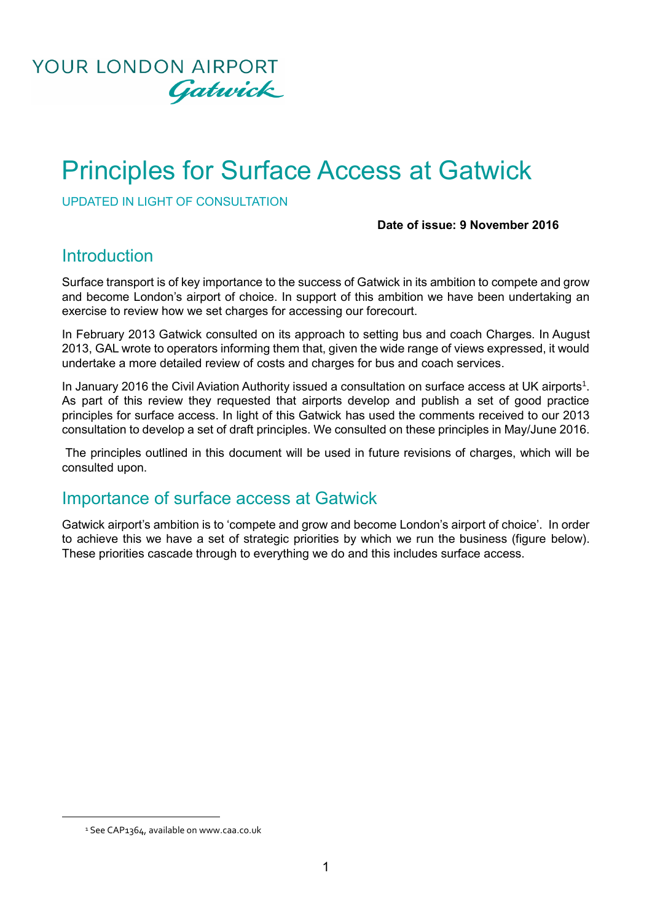

# Principles for Surface Access at Gatwick

UPDATED IN LIGHT OF CONSULTATION

#### **Date of issue: 9 November 2016**

### **Introduction**

Surface transport is of key importance to the success of Gatwick in its ambition to compete and grow and become London's airport of choice. In support of this ambition we have been undertaking an exercise to review how we set charges for accessing our forecourt.

In February 2013 Gatwick consulted on its approach to setting bus and coach Charges. In August 2013, GAL wrote to operators informing them that, given the wide range of views expressed, it would undertake a more detailed review of costs and charges for bus and coach services.

In January 2016 the Civil Aviation Authority issued a consultation on surface access at UK airports<sup>1</sup>. As part of this review they requested that airports develop and publish a set of good practice principles for surface access. In light of this Gatwick has used the comments received to our 2013 consultation to develop a set of draft principles. We consulted on these principles in May/June 2016.

The principles outlined in this document will be used in future revisions of charges, which will be consulted upon.

### Importance of surface access at Gatwick

Gatwick airport's ambition is to 'compete and grow and become London's airport of choice'. In order to achieve this we have a set of strategic priorities by which we run the business (figure below). These priorities cascade through to everything we do and this includes surface access.

**.** 

<sup>&</sup>lt;sup>1</sup> See CAP1364, available on www.caa.co.uk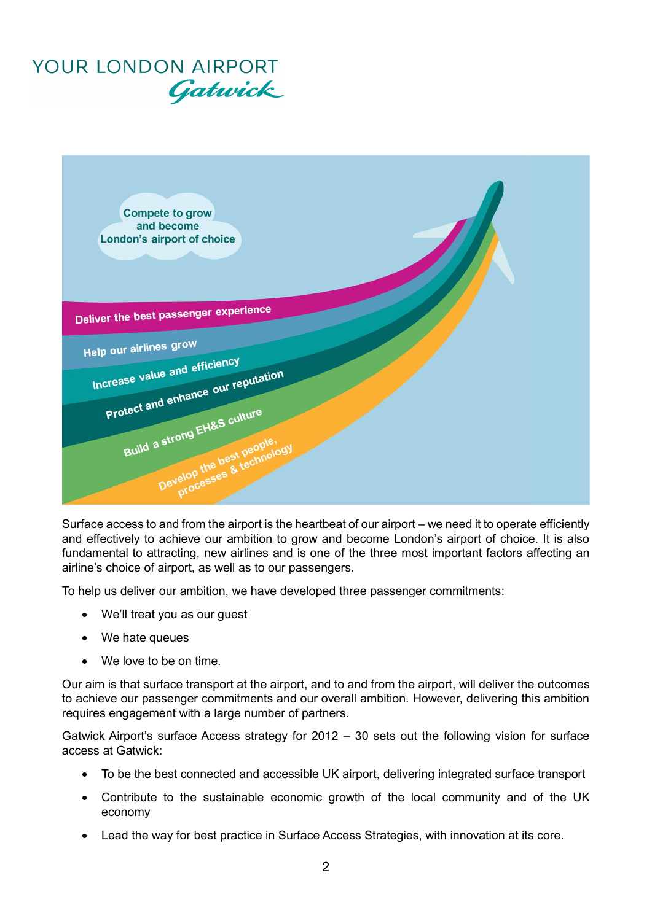# YOUR LONDON AIRPORT Gatwick



Surface access to and from the airport is the heartbeat of our airport – we need it to operate efficiently and effectively to achieve our ambition to grow and become London's airport of choice. It is also fundamental to attracting, new airlines and is one of the three most important factors affecting an airline's choice of airport, as well as to our passengers.

To help us deliver our ambition, we have developed three passenger commitments:

- We'll treat you as our guest
- We hate queues
- We love to be on time.

Our aim is that surface transport at the airport, and to and from the airport, will deliver the outcomes to achieve our passenger commitments and our overall ambition. However, delivering this ambition requires engagement with a large number of partners.

Gatwick Airport's surface Access strategy for 2012 – 30 sets out the following vision for surface access at Gatwick:

- To be the best connected and accessible UK airport, delivering integrated surface transport
- Contribute to the sustainable economic growth of the local community and of the UK economy
- Lead the way for best practice in Surface Access Strategies, with innovation at its core.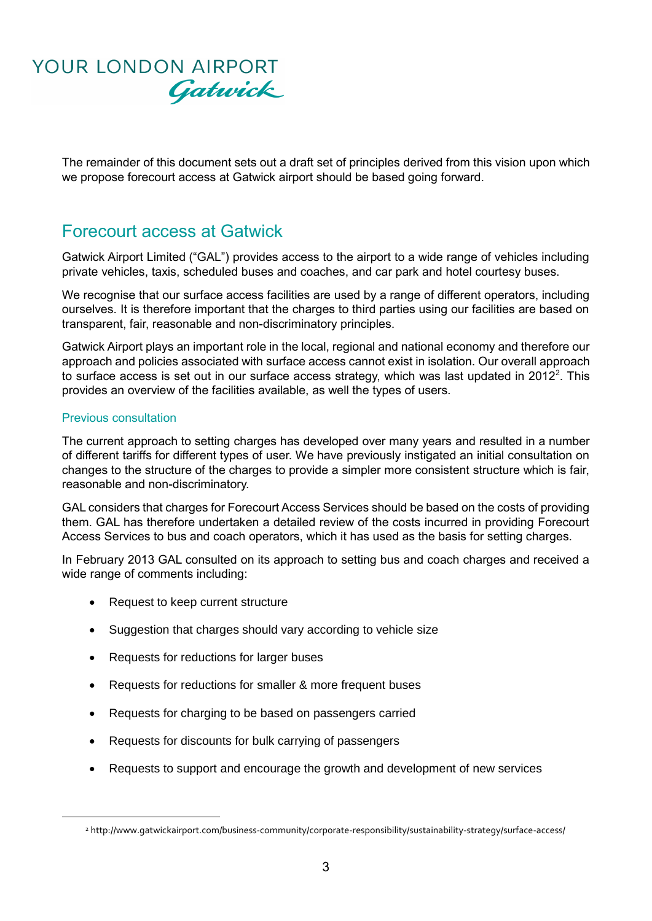## YOUR LONDON AIRPORT Gatwick

The remainder of this document sets out a draft set of principles derived from this vision upon which we propose forecourt access at Gatwick airport should be based going forward.

### Forecourt access at Gatwick

Gatwick Airport Limited ("GAL") provides access to the airport to a wide range of vehicles including private vehicles, taxis, scheduled buses and coaches, and car park and hotel courtesy buses.

We recognise that our surface access facilities are used by a range of different operators, including ourselves. It is therefore important that the charges to third parties using our facilities are based on transparent, fair, reasonable and non-discriminatory principles.

Gatwick Airport plays an important role in the local, regional and national economy and therefore our approach and policies associated with surface access cannot exist in isolation. Our overall approach to surface access is set out in our surface access strategy, which was last updated in  $2012^2$ . This provides an overview of the facilities available, as well the types of users.

#### Previous consultation

**.** 

The current approach to setting charges has developed over many years and resulted in a number of different tariffs for different types of user. We have previously instigated an initial consultation on changes to the structure of the charges to provide a simpler more consistent structure which is fair, reasonable and non-discriminatory.

GAL considers that charges for Forecourt Access Services should be based on the costs of providing them. GAL has therefore undertaken a detailed review of the costs incurred in providing Forecourt Access Services to bus and coach operators, which it has used as the basis for setting charges.

In February 2013 GAL consulted on its approach to setting bus and coach charges and received a wide range of comments including:

- Request to keep current structure
- Suggestion that charges should vary according to vehicle size
- Requests for reductions for larger buses
- Requests for reductions for smaller & more frequent buses
- Requests for charging to be based on passengers carried
- Requests for discounts for bulk carrying of passengers
- Requests to support and encourage the growth and development of new services

<sup>2</sup> http://www.gatwickairport.com/business-community/corporate-responsibility/sustainability-strategy/surface-access/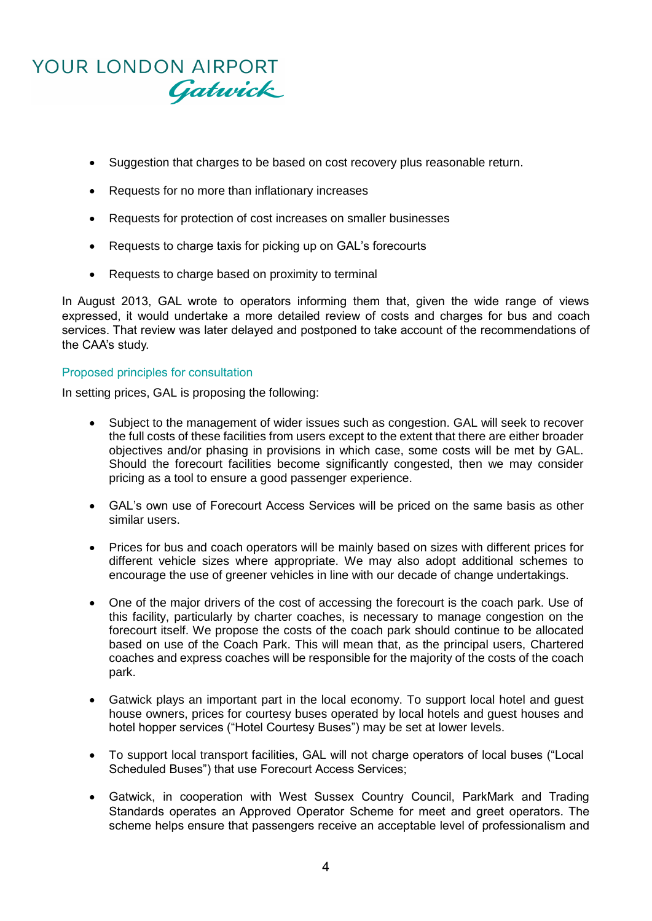# YOUR LONDON AIRPORT Gatwick

- Suggestion that charges to be based on cost recovery plus reasonable return.
- Requests for no more than inflationary increases
- Requests for protection of cost increases on smaller businesses
- Requests to charge taxis for picking up on GAL's forecourts
- Requests to charge based on proximity to terminal

In August 2013, GAL wrote to operators informing them that, given the wide range of views expressed, it would undertake a more detailed review of costs and charges for bus and coach services. That review was later delayed and postponed to take account of the recommendations of the CAA's study.

#### Proposed principles for consultation

In setting prices, GAL is proposing the following:

- Subject to the management of wider issues such as congestion. GAL will seek to recover the full costs of these facilities from users except to the extent that there are either broader objectives and/or phasing in provisions in which case, some costs will be met by GAL. Should the forecourt facilities become significantly congested, then we may consider pricing as a tool to ensure a good passenger experience.
- GAL's own use of Forecourt Access Services will be priced on the same basis as other similar users.
- Prices for bus and coach operators will be mainly based on sizes with different prices for different vehicle sizes where appropriate. We may also adopt additional schemes to encourage the use of greener vehicles in line with our decade of change undertakings.
- One of the major drivers of the cost of accessing the forecourt is the coach park. Use of this facility, particularly by charter coaches, is necessary to manage congestion on the forecourt itself. We propose the costs of the coach park should continue to be allocated based on use of the Coach Park. This will mean that, as the principal users, Chartered coaches and express coaches will be responsible for the majority of the costs of the coach park.
- Gatwick plays an important part in the local economy. To support local hotel and guest house owners, prices for courtesy buses operated by local hotels and guest houses and hotel hopper services ("Hotel Courtesy Buses") may be set at lower levels.
- To support local transport facilities, GAL will not charge operators of local buses ("Local Scheduled Buses") that use Forecourt Access Services;
- Gatwick, in cooperation with West Sussex Country Council, ParkMark and Trading Standards operates an Approved Operator Scheme for meet and greet operators. The scheme helps ensure that passengers receive an acceptable level of professionalism and